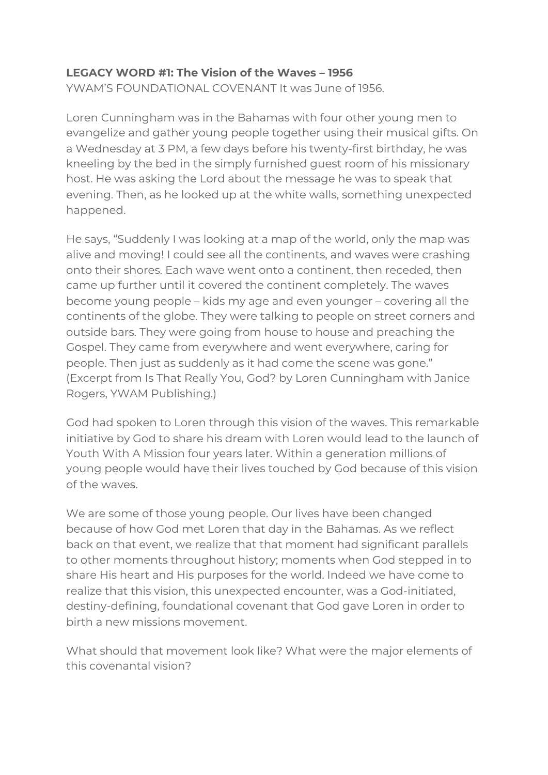## **LEGACY WORD #1: The Vision of the Waves – 1956**

YWAM'S FOUNDATIONAL COVENANT It was June of 1956.

Loren Cunningham was in the Bahamas with four other young men to evangelize and gather young people together using their musical gifts. On a Wednesday at 3 PM, a few days before his twenty-first birthday, he was kneeling by the bed in the simply furnished guest room of his missionary host. He was asking the Lord about the message he was to speak that evening. Then, as he looked up at the white walls, something unexpected happened.

He says, "Suddenly I was looking at a map of the world, only the map was alive and moving! I could see all the continents, and waves were crashing onto their shores. Each wave went onto a continent, then receded, then came up further until it covered the continent completely. The waves become young people – kids my age and even younger – covering all the continents of the globe. They were talking to people on street corners and outside bars. They were going from house to house and preaching the Gospel. They came from everywhere and went everywhere, caring for people. Then just as suddenly as it had come the scene was gone." (Excerpt from Is That Really You, God? by Loren Cunningham with Janice Rogers, YWAM Publishing.)

God had spoken to Loren through this vision of the waves. This remarkable initiative by God to share his dream with Loren would lead to the launch of Youth With A Mission four years later. Within a generation millions of young people would have their lives touched by God because of this vision of the waves.

We are some of those young people. Our lives have been changed because of how God met Loren that day in the Bahamas. As we reflect back on that event, we realize that that moment had significant parallels to other moments throughout history; moments when God stepped in to share His heart and His purposes for the world. Indeed we have come to realize that this vision, this unexpected encounter, was a God-initiated, destiny-defining, foundational covenant that God gave Loren in order to birth a new missions movement.

What should that movement look like? What were the major elements of this covenantal vision?